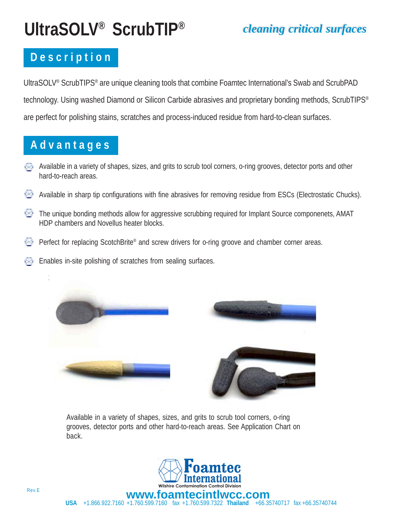# **UltraSOLV® ScrubTIP®** *cleaning critical surfaces cleaning critical surfaces*

### **D e s c r i p t i o n**

UltraSOLV® ScrubTIPS® are unique cleaning tools that combine Foamtec International's Swab and ScrubPAD technology. Using washed Diamond or Silicon Carbide abrasives and proprietary bonding methods, ScrubTIPS<sup>®</sup> are perfect for polishing stains, scratches and process-induced residue from hard-to-clean surfaces.

#### **A d v a n t a g e s**

ţ.

- Available in a variety of shapes, sizes, and grits to scrub tool corners, o-ring grooves, detector ports and other hard-to-reach areas.
- « Available in sharp tip configurations with fine abrasives for removing residue from ESCs (Electrostatic Chucks).
- ₩ The unique bonding methods allow for aggressive scrubbing required for Implant Source componenets, AMAT HDP chambers and Novellus heater blocks.
- $\leftrightarrow$ Perfect for replacing ScotchBrite® and screw drivers for o-ring groove and chamber corner areas.
- Enables in-site polishing of scratches from sealing surfaces.



Available in a variety of shapes, sizes, and grits to scrub tool corners, o-ring grooves, detector ports and other hard-to-reach areas. See Application Chart on back.